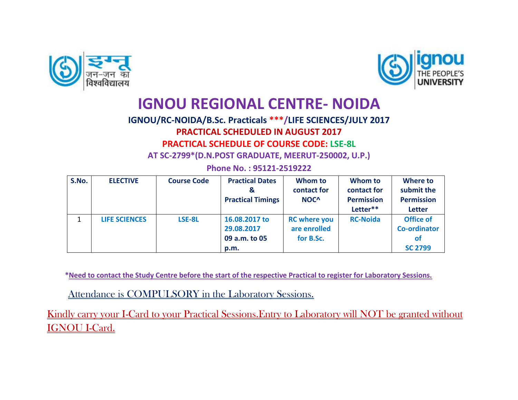



## **IGNOU REGIONAL CENTRE- NOIDA**

## **IGNOU/RC-NOIDA/B.Sc. Practicals \*\*\*/LIFE SCIENCES/JULY 2017 PRACTICAL SCHEDULED IN AUGUST 2017 PRACTICAL SCHEDULE OF COURSE CODE: LSE-8L**

**AT SC-2799\*(D.N.POST GRADUATE, MEERUT-250002, U.P.)**

|  |  | Phone No.: 95121-2519222 |  |
|--|--|--------------------------|--|
|  |  |                          |  |

| S.No. | <b>ELECTIVE</b>      | <b>Course Code</b> | <b>Practical Dates</b>        | Whom to<br>contact for | Whom to<br>contact for | Where to<br>submit the |
|-------|----------------------|--------------------|-------------------------------|------------------------|------------------------|------------------------|
|       |                      |                    | &<br><b>Practical Timings</b> | NOC <sup>^</sup>       | <b>Permission</b>      | <b>Permission</b>      |
|       |                      |                    |                               |                        | Letter**               | <b>Letter</b>          |
|       | <b>LIFE SCIENCES</b> | LSE-8L             | 16.08.2017 to                 | <b>RC</b> where you    | <b>RC-Noida</b>        | <b>Office of</b>       |
|       |                      |                    | 29.08.2017                    | are enrolled           |                        | <b>Co-ordinator</b>    |
|       |                      |                    | 09 a.m. to 05                 | for B.Sc.              |                        | <b>of</b>              |
|       |                      |                    | p.m.                          |                        |                        | <b>SC 2799</b>         |

 **\*Need to contact the Study Centre before the start of the respective Practical to register for Laboratory Sessions.**

Attendance is COMPULSORY in the Laboratory Sessions.

Kindly carry your I-Card to your Practical Sessions. Entry to Laboratory will NOT be granted without IGNOU I-Card.